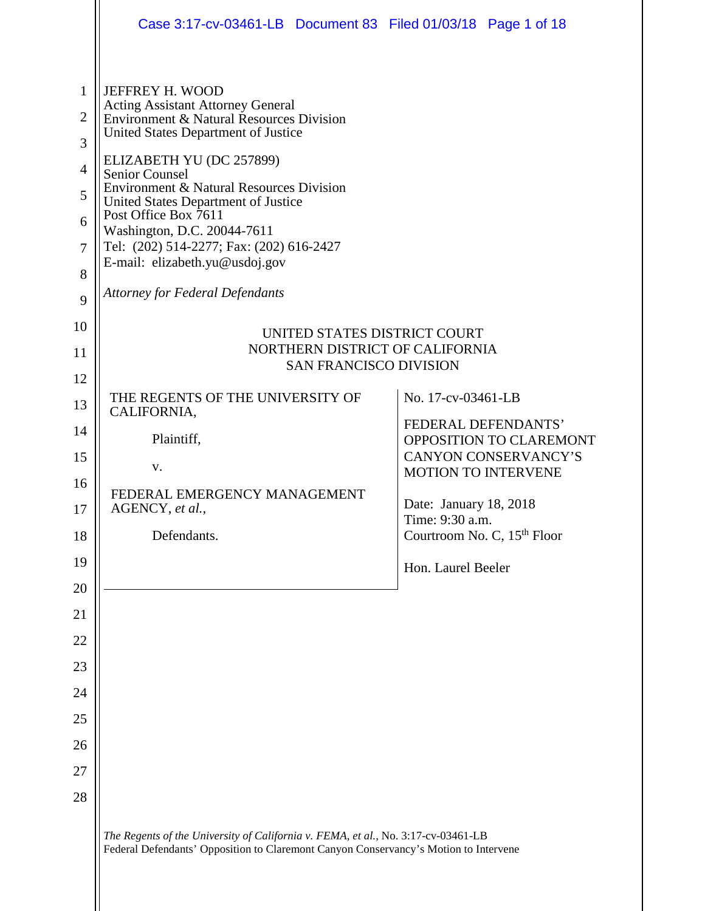|                                                                                | Case 3:17-cv-03461-LB  Document 83  Filed 01/03/18  Page 1 of 18                                                                                                                                                                                                                                                                                                                                                                                               |  |                                                                 |                                                        |  |
|--------------------------------------------------------------------------------|----------------------------------------------------------------------------------------------------------------------------------------------------------------------------------------------------------------------------------------------------------------------------------------------------------------------------------------------------------------------------------------------------------------------------------------------------------------|--|-----------------------------------------------------------------|--------------------------------------------------------|--|
| $\mathbf{1}$<br>$\overline{2}$<br>3<br>$\overline{4}$<br>5<br>6<br>7<br>8<br>9 | JEFFREY H. WOOD<br>Acting Assistant Attorney General<br>Environment & Natural Resources Division<br>United States Department of Justice<br>ELIZABETH YU (DC 257899)<br><b>Senior Counsel</b><br>Environment & Natural Resources Division<br>United States Department of Justice<br>Post Office Box 7611<br>Washington, D.C. 20044-7611<br>Tel: (202) 514-2277; Fax: (202) 616-2427<br>E-mail: elizabeth.yu@usdoj.gov<br><b>Attorney for Federal Defendants</b> |  |                                                                 |                                                        |  |
| 10                                                                             |                                                                                                                                                                                                                                                                                                                                                                                                                                                                |  |                                                                 |                                                        |  |
| 11                                                                             |                                                                                                                                                                                                                                                                                                                                                                                                                                                                |  | UNITED STATES DISTRICT COURT<br>NORTHERN DISTRICT OF CALIFORNIA |                                                        |  |
| 12                                                                             | <b>SAN FRANCISCO DIVISION</b>                                                                                                                                                                                                                                                                                                                                                                                                                                  |  |                                                                 |                                                        |  |
| 13                                                                             | THE REGENTS OF THE UNIVERSITY OF<br>CALIFORNIA,                                                                                                                                                                                                                                                                                                                                                                                                                |  | No. 17-cv-03461-LB                                              |                                                        |  |
| 14                                                                             |                                                                                                                                                                                                                                                                                                                                                                                                                                                                |  | FEDERAL DEFENDANTS'                                             |                                                        |  |
| 15                                                                             | Plaintiff,                                                                                                                                                                                                                                                                                                                                                                                                                                                     |  |                                                                 | OPPOSITION TO CLAREMONT<br><b>CANYON CONSERVANCY'S</b> |  |
| 16                                                                             | V.<br>FEDERAL EMERGENCY MANAGEMENT<br>AGENCY, et al.,                                                                                                                                                                                                                                                                                                                                                                                                          |  | <b>MOTION TO INTERVENE</b>                                      |                                                        |  |
| 17                                                                             |                                                                                                                                                                                                                                                                                                                                                                                                                                                                |  |                                                                 | Date: January 18, 2018                                 |  |
| 18                                                                             | Defendants.                                                                                                                                                                                                                                                                                                                                                                                                                                                    |  | Time: 9:30 a.m.<br>Courtroom No. C, 15 <sup>th</sup> Floor      |                                                        |  |
| 19                                                                             |                                                                                                                                                                                                                                                                                                                                                                                                                                                                |  | Hon. Laurel Beeler                                              |                                                        |  |
| 20                                                                             |                                                                                                                                                                                                                                                                                                                                                                                                                                                                |  |                                                                 |                                                        |  |
| 21                                                                             |                                                                                                                                                                                                                                                                                                                                                                                                                                                                |  |                                                                 |                                                        |  |
| 22                                                                             |                                                                                                                                                                                                                                                                                                                                                                                                                                                                |  |                                                                 |                                                        |  |
| 23                                                                             |                                                                                                                                                                                                                                                                                                                                                                                                                                                                |  |                                                                 |                                                        |  |
| 24                                                                             |                                                                                                                                                                                                                                                                                                                                                                                                                                                                |  |                                                                 |                                                        |  |
| 25                                                                             |                                                                                                                                                                                                                                                                                                                                                                                                                                                                |  |                                                                 |                                                        |  |
| 26                                                                             |                                                                                                                                                                                                                                                                                                                                                                                                                                                                |  |                                                                 |                                                        |  |
| 27                                                                             |                                                                                                                                                                                                                                                                                                                                                                                                                                                                |  |                                                                 |                                                        |  |
| 28                                                                             |                                                                                                                                                                                                                                                                                                                                                                                                                                                                |  |                                                                 |                                                        |  |
|                                                                                | The Regents of the University of California v. FEMA, et al., No. 3:17-cv-03461-LB<br>Federal Defendants' Opposition to Claremont Canyon Conservancy's Motion to Intervene                                                                                                                                                                                                                                                                                      |  |                                                                 |                                                        |  |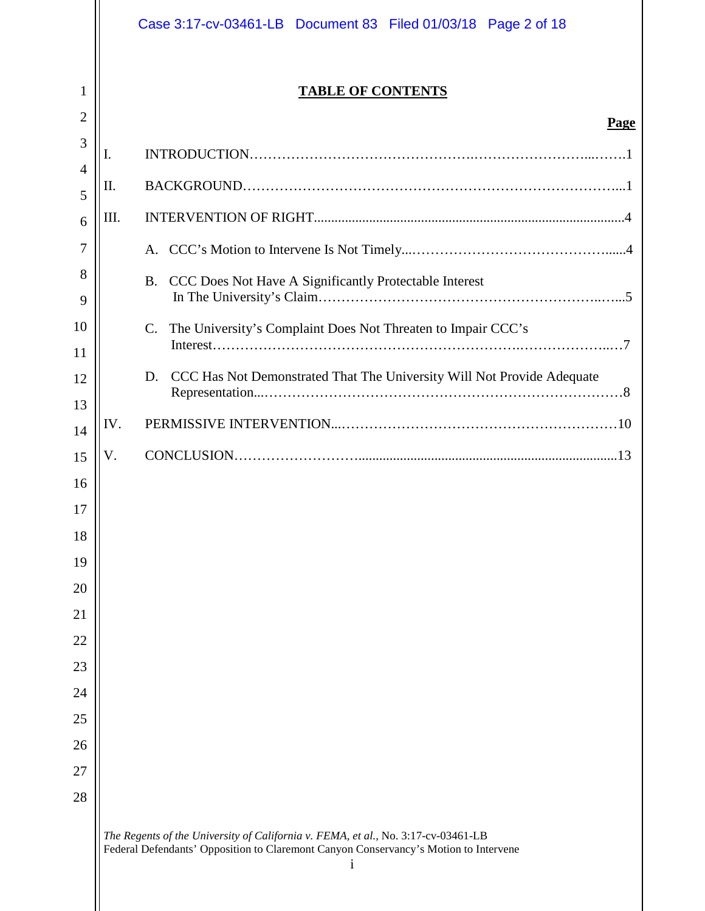|                |     | Case 3:17-cv-03461-LB Document 83 Filed 01/03/18 Page 2 of 18                                                                                                                  |
|----------------|-----|--------------------------------------------------------------------------------------------------------------------------------------------------------------------------------|
| 1              |     | <b>TABLE OF CONTENTS</b>                                                                                                                                                       |
| $\overline{2}$ |     | Page                                                                                                                                                                           |
| 3              | I.  |                                                                                                                                                                                |
| $\overline{4}$ | П.  |                                                                                                                                                                                |
| 5              |     |                                                                                                                                                                                |
| 6              | Ш.  |                                                                                                                                                                                |
| 7              |     |                                                                                                                                                                                |
| 8              |     | CCC Does Not Have A Significantly Protectable Interest<br><b>B.</b>                                                                                                            |
| 9              |     |                                                                                                                                                                                |
| 10             |     | The University's Complaint Does Not Threaten to Impair CCC's<br>C.                                                                                                             |
| 11             |     |                                                                                                                                                                                |
| 12             |     | CCC Has Not Demonstrated That The University Will Not Provide Adequate<br>D.                                                                                                   |
| 13             | IV. |                                                                                                                                                                                |
| 14             |     |                                                                                                                                                                                |
| 15             | V.  |                                                                                                                                                                                |
| 16             |     |                                                                                                                                                                                |
| 17             |     |                                                                                                                                                                                |
| 18             |     |                                                                                                                                                                                |
| 19<br>20       |     |                                                                                                                                                                                |
| 21             |     |                                                                                                                                                                                |
| 22             |     |                                                                                                                                                                                |
| 23             |     |                                                                                                                                                                                |
| 24             |     |                                                                                                                                                                                |
| 25             |     |                                                                                                                                                                                |
| 26             |     |                                                                                                                                                                                |
| 27             |     |                                                                                                                                                                                |
| 28             |     |                                                                                                                                                                                |
|                |     | The Regents of the University of California v. FEMA, et al., No. 3:17-cv-03461-LB<br>Federal Defendants' Opposition to Claremont Canyon Conservancy's Motion to Intervene<br>i |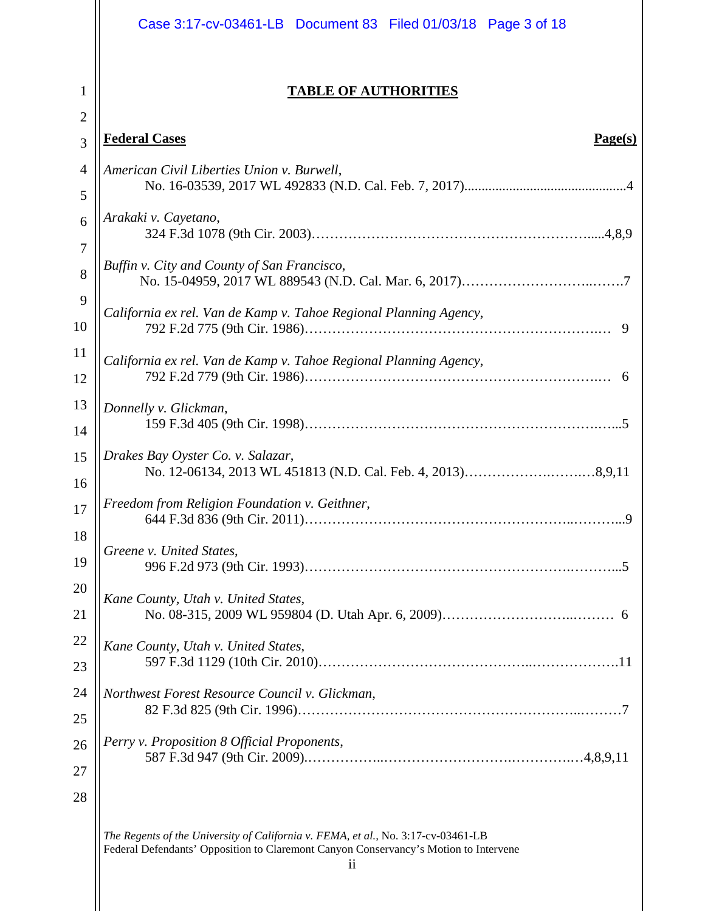|                     | Case 3:17-cv-03461-LB Document 83 Filed 01/03/18 Page 3 of 18                                                                                                                   |
|---------------------|---------------------------------------------------------------------------------------------------------------------------------------------------------------------------------|
| 1<br>$\overline{2}$ | <b>TABLE OF AUTHORITIES</b>                                                                                                                                                     |
| 3                   | <b>Federal Cases</b><br>Page(s)                                                                                                                                                 |
| $\overline{4}$      | American Civil Liberties Union v. Burwell,                                                                                                                                      |
| 5                   |                                                                                                                                                                                 |
| 6                   | Arakaki v. Cayetano,                                                                                                                                                            |
| $\boldsymbol{7}$    |                                                                                                                                                                                 |
| 8                   | Buffin v. City and County of San Francisco,                                                                                                                                     |
| 9                   | California ex rel. Van de Kamp v. Tahoe Regional Planning Agency,                                                                                                               |
| 10                  |                                                                                                                                                                                 |
| 11                  | California ex rel. Van de Kamp v. Tahoe Regional Planning Agency,                                                                                                               |
| 12                  |                                                                                                                                                                                 |
| 13                  | Donnelly v. Glickman,                                                                                                                                                           |
| 14                  |                                                                                                                                                                                 |
| 15                  | Drakes Bay Oyster Co. v. Salazar,                                                                                                                                               |
| 16                  |                                                                                                                                                                                 |
| 17                  | Freedom from Religion Foundation v. Geithner,                                                                                                                                   |
| 18                  | Greene v. United States,                                                                                                                                                        |
| 19                  |                                                                                                                                                                                 |
| 20                  | Kane County, Utah v. United States,                                                                                                                                             |
| 21                  |                                                                                                                                                                                 |
| 22                  | Kane County, Utah v. United States,                                                                                                                                             |
| 23                  |                                                                                                                                                                                 |
| 24                  | Northwest Forest Resource Council v. Glickman,                                                                                                                                  |
| 25                  |                                                                                                                                                                                 |
| 26                  | Perry v. Proposition 8 Official Proponents,                                                                                                                                     |
| 27                  |                                                                                                                                                                                 |
| 28                  |                                                                                                                                                                                 |
|                     | The Regents of the University of California v. FEMA, et al., No. 3:17-cv-03461-LB<br>Federal Defendants' Opposition to Claremont Canyon Conservancy's Motion to Intervene<br>11 |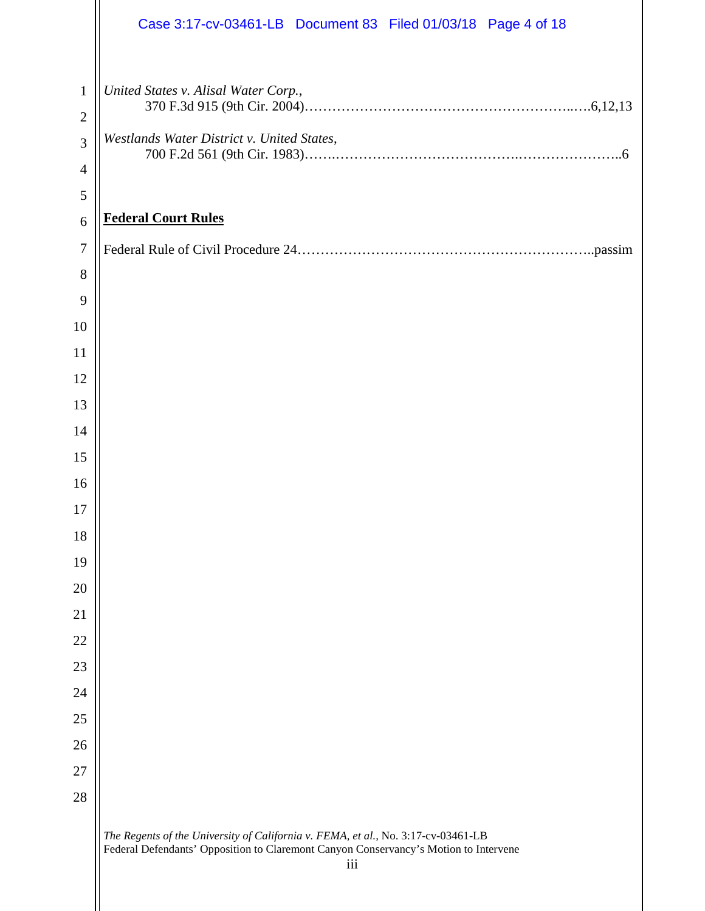|                | Case 3:17-cv-03461-LB Document 83 Filed 01/03/18 Page 4 of 18                                                                                                                    |  |  |  |  |  |  |
|----------------|----------------------------------------------------------------------------------------------------------------------------------------------------------------------------------|--|--|--|--|--|--|
| $\mathbf{1}$   | United States v. Alisal Water Corp.,                                                                                                                                             |  |  |  |  |  |  |
| $\overline{2}$ |                                                                                                                                                                                  |  |  |  |  |  |  |
| 3              | Westlands Water District v. United States,                                                                                                                                       |  |  |  |  |  |  |
| $\overline{4}$ |                                                                                                                                                                                  |  |  |  |  |  |  |
| $\mathfrak{S}$ |                                                                                                                                                                                  |  |  |  |  |  |  |
| 6              | <b>Federal Court Rules</b>                                                                                                                                                       |  |  |  |  |  |  |
| $\overline{7}$ |                                                                                                                                                                                  |  |  |  |  |  |  |
| $8\,$          |                                                                                                                                                                                  |  |  |  |  |  |  |
| 9              |                                                                                                                                                                                  |  |  |  |  |  |  |
| 10             |                                                                                                                                                                                  |  |  |  |  |  |  |
| 11             |                                                                                                                                                                                  |  |  |  |  |  |  |
| 12             |                                                                                                                                                                                  |  |  |  |  |  |  |
| 13             |                                                                                                                                                                                  |  |  |  |  |  |  |
| 14             |                                                                                                                                                                                  |  |  |  |  |  |  |
| 15             |                                                                                                                                                                                  |  |  |  |  |  |  |
| 16             |                                                                                                                                                                                  |  |  |  |  |  |  |
| 17             |                                                                                                                                                                                  |  |  |  |  |  |  |
| 18             |                                                                                                                                                                                  |  |  |  |  |  |  |
| 19             |                                                                                                                                                                                  |  |  |  |  |  |  |
| 20             |                                                                                                                                                                                  |  |  |  |  |  |  |
| 21             |                                                                                                                                                                                  |  |  |  |  |  |  |
| 22             |                                                                                                                                                                                  |  |  |  |  |  |  |
| 23             |                                                                                                                                                                                  |  |  |  |  |  |  |
| 24             |                                                                                                                                                                                  |  |  |  |  |  |  |
| 25             |                                                                                                                                                                                  |  |  |  |  |  |  |
| 26             |                                                                                                                                                                                  |  |  |  |  |  |  |
| 27             |                                                                                                                                                                                  |  |  |  |  |  |  |
| 28             |                                                                                                                                                                                  |  |  |  |  |  |  |
|                | The Regents of the University of California v. FEMA, et al., No. 3:17-cv-03461-LB<br>Federal Defendants' Opposition to Claremont Canyon Conservancy's Motion to Intervene<br>iii |  |  |  |  |  |  |

 $\parallel$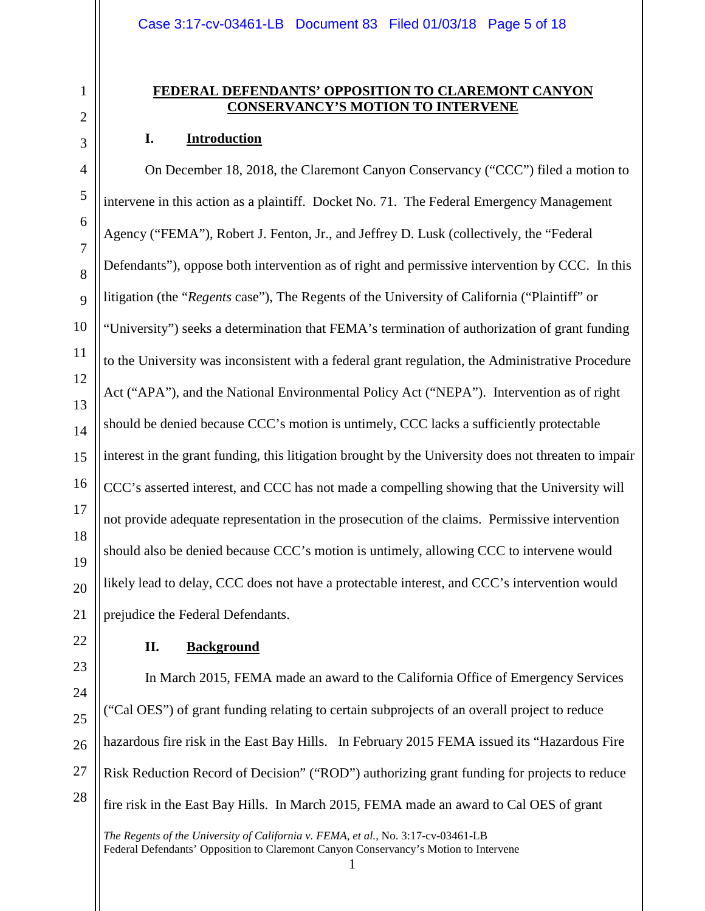### **FEDERAL DEFENDANTS' OPPOSITION TO CLAREMONT CANYON CONSERVANCY'S MOTION TO INTERVENE**

## **I. Introduction**

On December 18, 2018, the Claremont Canyon Conservancy ("CCC") filed a motion to intervene in this action as a plaintiff. Docket No. 71. The Federal Emergency Management Agency ("FEMA"), Robert J. Fenton, Jr., and Jeffrey D. Lusk (collectively, the "Federal Defendants"), oppose both intervention as of right and permissive intervention by CCC. In this litigation (the "*Regents* case"), The Regents of the University of California ("Plaintiff" or "University") seeks a determination that FEMA's termination of authorization of grant funding to the University was inconsistent with a federal grant regulation, the Administrative Procedure Act ("APA"), and the National Environmental Policy Act ("NEPA"). Intervention as of right should be denied because CCC's motion is untimely, CCC lacks a sufficiently protectable interest in the grant funding, this litigation brought by the University does not threaten to impair CCC's asserted interest, and CCC has not made a compelling showing that the University will not provide adequate representation in the prosecution of the claims. Permissive intervention should also be denied because CCC's motion is untimely, allowing CCC to intervene would likely lead to delay, CCC does not have a protectable interest, and CCC's intervention would prejudice the Federal Defendants.

## **II. Background**

In March 2015, FEMA made an award to the California Office of Emergency Services ("Cal OES") of grant funding relating to certain subprojects of an overall project to reduce hazardous fire risk in the East Bay Hills. In February 2015 FEMA issued its "Hazardous Fire Risk Reduction Record of Decision" ("ROD") authorizing grant funding for projects to reduce fire risk in the East Bay Hills. In March 2015, FEMA made an award to Cal OES of grant

1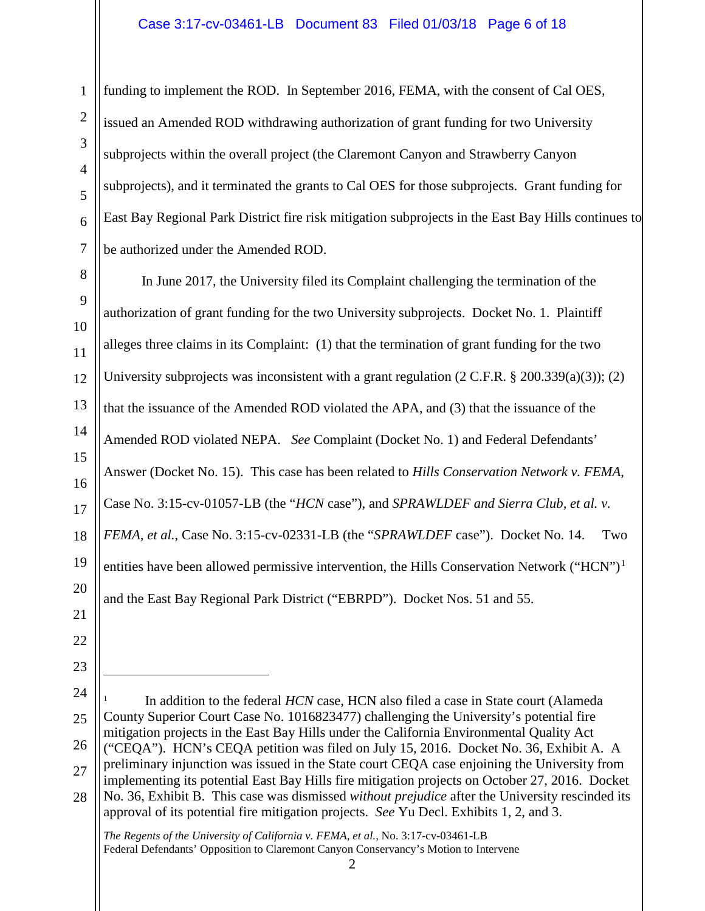funding to implement the ROD. In September 2016, FEMA, with the consent of Cal OES, issued an Amended ROD withdrawing authorization of grant funding for two University subprojects within the overall project (the Claremont Canyon and Strawberry Canyon subprojects), and it terminated the grants to Cal OES for those subprojects. Grant funding for East Bay Regional Park District fire risk mitigation subprojects in the East Bay Hills continues to be authorized under the Amended ROD.

10 12 In June 2017, the University filed its Complaint challenging the termination of the authorization of grant funding for the two University subprojects. Docket No. 1. Plaintiff alleges three claims in its Complaint: (1) that the termination of grant funding for the two University subprojects was inconsistent with a grant regulation  $(2 \text{ C.F.R. } § 200.339(a)(3))$ ; (2) that the issuance of the Amended ROD violated the APA, and (3) that the issuance of the Amended ROD violated NEPA. *See* Complaint (Docket No. 1) and Federal Defendants' Answer (Docket No. 15). This case has been related to *Hills Conservation Network v. FEMA*, Case No. 3:15-cv-01057-LB (the "*HCN* case"), and *SPRAWLDEF and Sierra Club, et al. v. FEMA, et al.*, Case No. 3:15-cv-02331-LB (the "*SPRAWLDEF* case"). Docket No. 14. Two entities have been allowed permissive intervention, the Hills Conservation Network ("HCN")<sup>[1](#page-5-0)</sup> and the East Bay Regional Park District ("EBRPD"). Docket Nos. 51 and 55.

 $\overline{a}$ 

1

2

3

4

5

6

7

8

9

<span id="page-5-0"></span><sup>26</sup> 27 28 In addition to the federal *HCN* case, HCN also filed a case in State court (Alameda County Superior Court Case No. 1016823477) challenging the University's potential fire mitigation projects in the East Bay Hills under the California Environmental Quality Act ("CEQA"). HCN's CEQA petition was filed on July 15, 2016. Docket No. 36, Exhibit A. A preliminary injunction was issued in the State court CEQA case enjoining the University from implementing its potential East Bay Hills fire mitigation projects on October 27, 2016. Docket No. 36, Exhibit B. This case was dismissed *without prejudice* after the University rescinded its approval of its potential fire mitigation projects. *See* Yu Decl. Exhibits 1, 2, and 3.

*The Regents of the University of California v. FEMA, et al.,* No. 3:17-cv-03461-LB Federal Defendants' Opposition to Claremont Canyon Conservancy's Motion to Intervene

<sup>2</sup>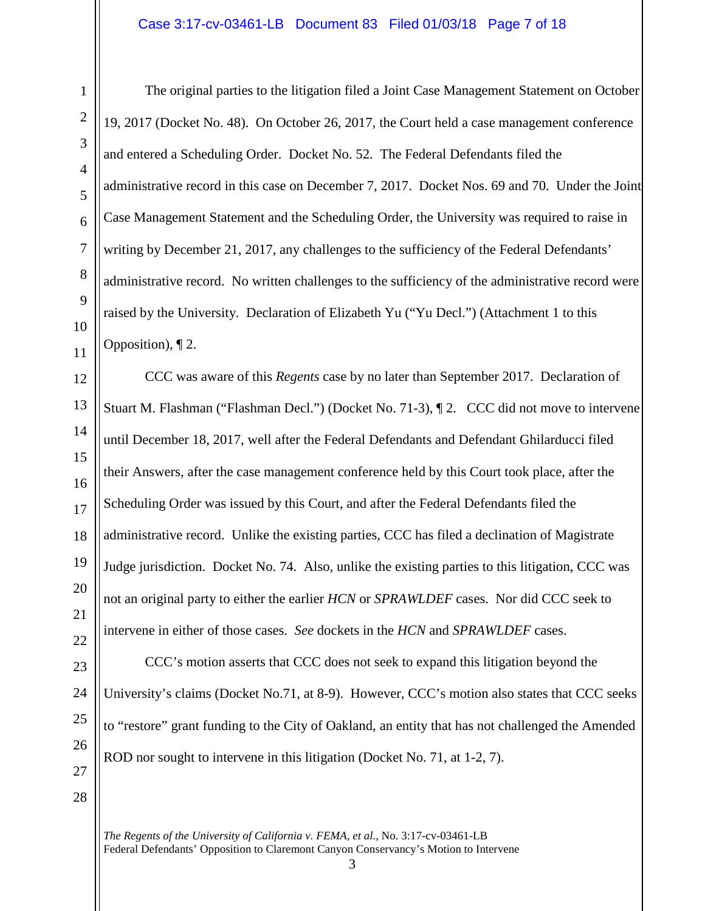The original parties to the litigation filed a Joint Case Management Statement on October 19, 2017 (Docket No. 48). On October 26, 2017, the Court held a case management conference and entered a Scheduling Order. Docket No. 52. The Federal Defendants filed the administrative record in this case on December 7, 2017. Docket Nos. 69 and 70. Under the Joint Case Management Statement and the Scheduling Order, the University was required to raise in writing by December 21, 2017, any challenges to the sufficiency of the Federal Defendants' administrative record. No written challenges to the sufficiency of the administrative record were raised by the University. Declaration of Elizabeth Yu ("Yu Decl.") (Attachment 1 to this Opposition), ¶ 2.

CCC was aware of this *Regents* case by no later than September 2017. Declaration of Stuart M. Flashman ("Flashman Decl.") (Docket No. 71-3), ¶ 2. CCC did not move to intervene until December 18, 2017, well after the Federal Defendants and Defendant Ghilarducci filed their Answers, after the case management conference held by this Court took place, after the Scheduling Order was issued by this Court, and after the Federal Defendants filed the administrative record. Unlike the existing parties, CCC has filed a declination of Magistrate Judge jurisdiction. Docket No. 74. Also, unlike the existing parties to this litigation, CCC was not an original party to either the earlier *HCN* or *SPRAWLDEF* cases. Nor did CCC seek to intervene in either of those cases. *See* dockets in the *HCN* and *SPRAWLDEF* cases.

CCC's motion asserts that CCC does not seek to expand this litigation beyond the University's claims (Docket No.71, at 8-9). However, CCC's motion also states that CCC seeks to "restore" grant funding to the City of Oakland, an entity that has not challenged the Amended ROD nor sought to intervene in this litigation (Docket No. 71, at 1-2, 7).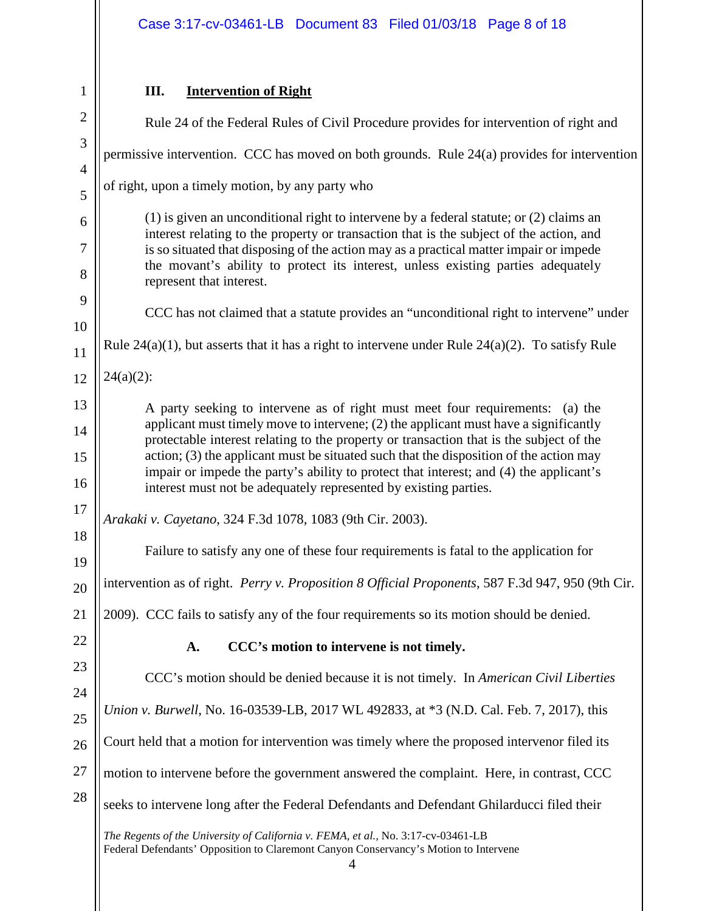| $\overline{c}$<br>3<br>$\overline{\mathcal{A}}$<br>5<br>6<br>$\overline{7}$<br>8<br>9<br>10<br>11<br>12<br>13<br>14<br>15<br>16<br>17<br>18<br>19<br>21<br>22<br>23<br>24<br>25<br>26<br>$\overline{27}$<br>28 | $\mathbf{1}$ |
|----------------------------------------------------------------------------------------------------------------------------------------------------------------------------------------------------------------|--------------|
|                                                                                                                                                                                                                |              |
|                                                                                                                                                                                                                |              |
|                                                                                                                                                                                                                |              |
|                                                                                                                                                                                                                |              |
|                                                                                                                                                                                                                |              |
|                                                                                                                                                                                                                |              |
|                                                                                                                                                                                                                |              |
|                                                                                                                                                                                                                |              |
|                                                                                                                                                                                                                |              |
|                                                                                                                                                                                                                |              |
|                                                                                                                                                                                                                |              |
|                                                                                                                                                                                                                |              |
|                                                                                                                                                                                                                |              |
|                                                                                                                                                                                                                |              |
|                                                                                                                                                                                                                |              |
|                                                                                                                                                                                                                |              |
|                                                                                                                                                                                                                |              |
|                                                                                                                                                                                                                |              |
|                                                                                                                                                                                                                |              |
|                                                                                                                                                                                                                |              |
|                                                                                                                                                                                                                |              |
|                                                                                                                                                                                                                |              |
|                                                                                                                                                                                                                |              |
|                                                                                                                                                                                                                |              |
|                                                                                                                                                                                                                |              |
|                                                                                                                                                                                                                |              |
|                                                                                                                                                                                                                |              |
|                                                                                                                                                                                                                |              |
|                                                                                                                                                                                                                |              |

# **III. Intervention of Right**

*The Regents of the University of California v. FEMA, et al.,* No. 3:17-cv-03461-LB Federal Defendants' Opposition to Claremont Canyon Conservancy's Motion to Intervene 4 Rule 24 of the Federal Rules of Civil Procedure provides for intervention of right and permissive intervention. CCC has moved on both grounds. Rule 24(a) provides for intervention of right, upon a timely motion, by any party who (1) is given an unconditional right to intervene by a federal statute; or (2) claims an interest relating to the property or transaction that is the subject of the action, and is so situated that disposing of the action may as a practical matter impair or impede the movant's ability to protect its interest, unless existing parties adequately represent that interest. CCC has not claimed that a statute provides an "unconditional right to intervene" under Rule  $24(a)(1)$ , but asserts that it has a right to intervene under Rule  $24(a)(2)$ . To satisfy Rule  $24(a)(2)$ : A party seeking to intervene as of right must meet four requirements: (a) the applicant must timely move to intervene; (2) the applicant must have a significantly protectable interest relating to the property or transaction that is the subject of the action; (3) the applicant must be situated such that the disposition of the action may impair or impede the party's ability to protect that interest; and (4) the applicant's interest must not be adequately represented by existing parties. *Arakaki v. Cayetano*, 324 F.3d 1078, 1083 (9th Cir. 2003). Failure to satisfy any one of these four requirements is fatal to the application for intervention as of right. *Perry v. Proposition 8 Official Proponents*, 587 F.3d 947, 950 (9th Cir. 2009). CCC fails to satisfy any of the four requirements so its motion should be denied. **A. CCC's motion to intervene is not timely.**  CCC's motion should be denied because it is not timely. In *American Civil Liberties Union v. Burwell*, No. 16-03539-LB, 2017 WL 492833, at \*3 (N.D. Cal. Feb. 7, 2017), this Court held that a motion for intervention was timely where the proposed intervenor filed its motion to intervene before the government answered the complaint. Here, in contrast, CCC seeks to intervene long after the Federal Defendants and Defendant Ghilarducci filed their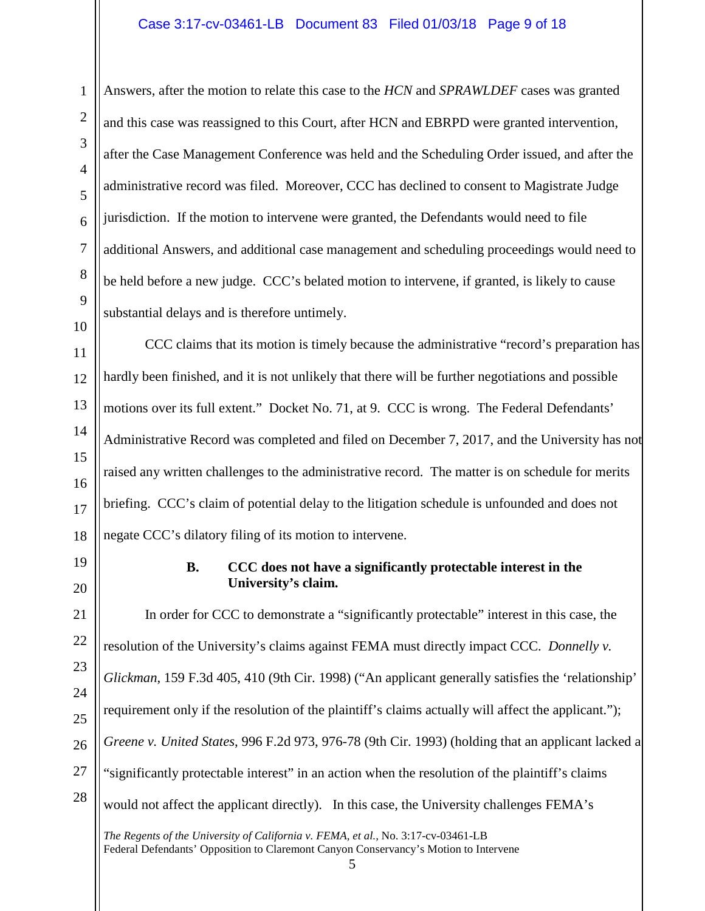## Case 3:17-cv-03461-LB Document 83 Filed 01/03/18 Page 9 of 18

Answers, after the motion to relate this case to the *HCN* and *SPRAWLDEF* cases was granted and this case was reassigned to this Court, after HCN and EBRPD were granted intervention, after the Case Management Conference was held and the Scheduling Order issued, and after the administrative record was filed. Moreover, CCC has declined to consent to Magistrate Judge jurisdiction. If the motion to intervene were granted, the Defendants would need to file additional Answers, and additional case management and scheduling proceedings would need to be held before a new judge. CCC's belated motion to intervene, if granted, is likely to cause substantial delays and is therefore untimely.

CCC claims that its motion is timely because the administrative "record's preparation has hardly been finished, and it is not unlikely that there will be further negotiations and possible motions over its full extent." Docket No. 71, at 9. CCC is wrong. The Federal Defendants' Administrative Record was completed and filed on December 7, 2017, and the University has not raised any written challenges to the administrative record. The matter is on schedule for merits briefing. CCC's claim of potential delay to the litigation schedule is unfounded and does not negate CCC's dilatory filing of its motion to intervene.

### **B. CCC does not have a significantly protectable interest in the University's claim.**

In order for CCC to demonstrate a "significantly protectable" interest in this case, the resolution of the University's claims against FEMA must directly impact CCC. *Donnelly v. Glickman*, 159 F.3d 405, 410 (9th Cir. 1998) ("An applicant generally satisfies the 'relationship' requirement only if the resolution of the plaintiff's claims actually will affect the applicant."); *Greene v. United States*, 996 F.2d 973, 976-78 (9th Cir. 1993) (holding that an applicant lacked a "significantly protectable interest" in an action when the resolution of the plaintiff's claims would not affect the applicant directly). In this case, the University challenges FEMA's

*The Regents of the University of California v. FEMA, et al.,* No. 3:17-cv-03461-LB Federal Defendants' Opposition to Claremont Canyon Conservancy's Motion to Intervene

1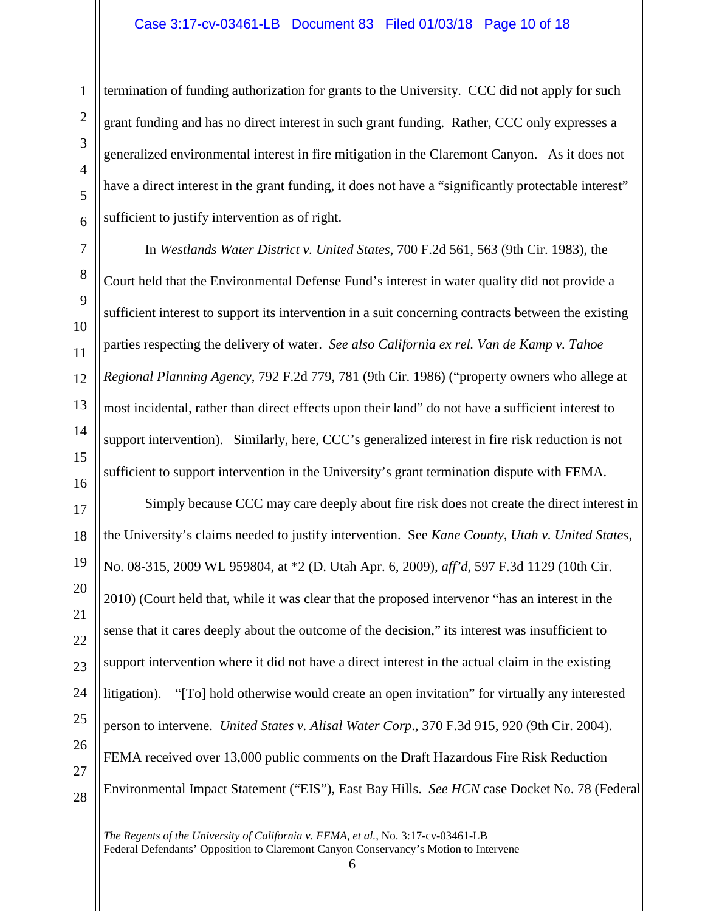termination of funding authorization for grants to the University. CCC did not apply for such grant funding and has no direct interest in such grant funding. Rather, CCC only expresses a generalized environmental interest in fire mitigation in the Claremont Canyon. As it does not have a direct interest in the grant funding, it does not have a "significantly protectable interest" sufficient to justify intervention as of right.

In *Westlands Water District v. United States*, 700 F.2d 561, 563 (9th Cir. 1983), the Court held that the Environmental Defense Fund's interest in water quality did not provide a sufficient interest to support its intervention in a suit concerning contracts between the existing parties respecting the delivery of water. *See also California ex rel. Van de Kamp v. Tahoe Regional Planning Agency*, 792 F.2d 779, 781 (9th Cir. 1986) ("property owners who allege at most incidental, rather than direct effects upon their land" do not have a sufficient interest to support intervention). Similarly, here, CCC's generalized interest in fire risk reduction is not sufficient to support intervention in the University's grant termination dispute with FEMA.

Simply because CCC may care deeply about fire risk does not create the direct interest in the University's claims needed to justify intervention. See *Kane County, Utah v. United States*, No. 08-315, 2009 WL 959804, at \*2 (D. Utah Apr. 6, 2009), *aff'd*, 597 F.3d 1129 (10th Cir. 2010) (Court held that, while it was clear that the proposed intervenor "has an interest in the sense that it cares deeply about the outcome of the decision," its interest was insufficient to support intervention where it did not have a direct interest in the actual claim in the existing litigation). "[To] hold otherwise would create an open invitation" for virtually any interested person to intervene. *United States v. Alisal Water Corp*., 370 F.3d 915, 920 (9th Cir. 2004). FEMA received over 13,000 public comments on the Draft Hazardous Fire Risk Reduction Environmental Impact Statement ("EIS"), East Bay Hills. *See HCN* case Docket No. 78 (Federal

*The Regents of the University of California v. FEMA, et al.,* No. 3:17-cv-03461-LB Federal Defendants' Opposition to Claremont Canyon Conservancy's Motion to Intervene

1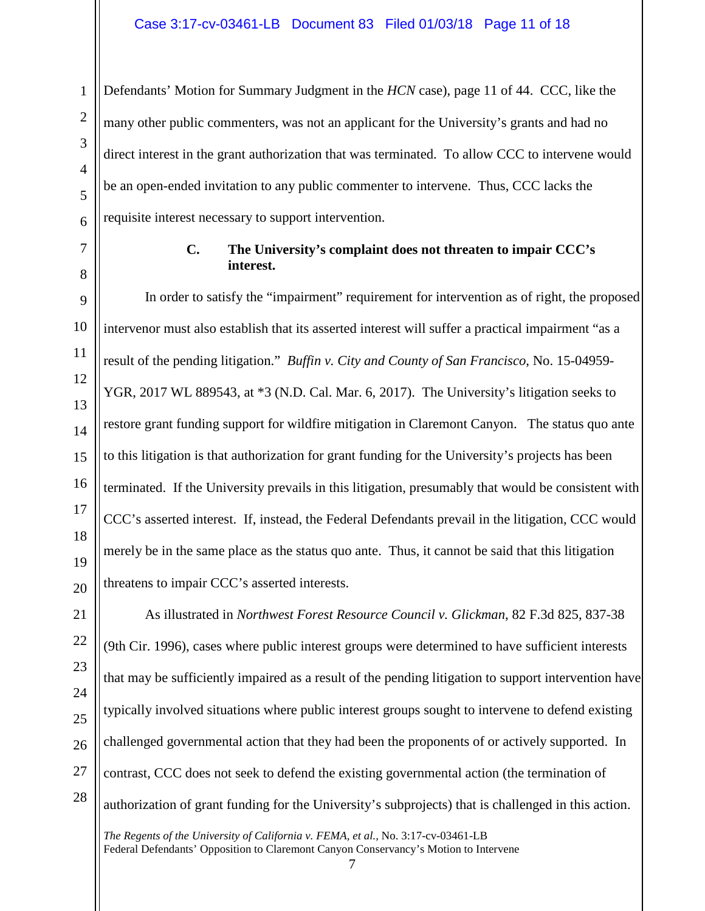Defendants' Motion for Summary Judgment in the *HCN* case), page 11 of 44. CCC, like the many other public commenters, was not an applicant for the University's grants and had no direct interest in the grant authorization that was terminated. To allow CCC to intervene would be an open-ended invitation to any public commenter to intervene. Thus, CCC lacks the requisite interest necessary to support intervention.

1

## **C. The University's complaint does not threaten to impair CCC's interest.**

In order to satisfy the "impairment" requirement for intervention as of right, the proposed intervenor must also establish that its asserted interest will suffer a practical impairment "as a result of the pending litigation." *Buffin v. City and County of San Francisco*, No. 15-04959- YGR, 2017 WL 889543, at \*3 (N.D. Cal. Mar. 6, 2017). The University's litigation seeks to restore grant funding support for wildfire mitigation in Claremont Canyon. The status quo ante to this litigation is that authorization for grant funding for the University's projects has been terminated. If the University prevails in this litigation, presumably that would be consistent with CCC's asserted interest. If, instead, the Federal Defendants prevail in the litigation, CCC would merely be in the same place as the status quo ante. Thus, it cannot be said that this litigation threatens to impair CCC's asserted interests.

As illustrated in *Northwest Forest Resource Council v. Glickman*, 82 F.3d 825, 837-38 (9th Cir. 1996), cases where public interest groups were determined to have sufficient interests that may be sufficiently impaired as a result of the pending litigation to support intervention have typically involved situations where public interest groups sought to intervene to defend existing challenged governmental action that they had been the proponents of or actively supported. In contrast, CCC does not seek to defend the existing governmental action (the termination of authorization of grant funding for the University's subprojects) that is challenged in this action.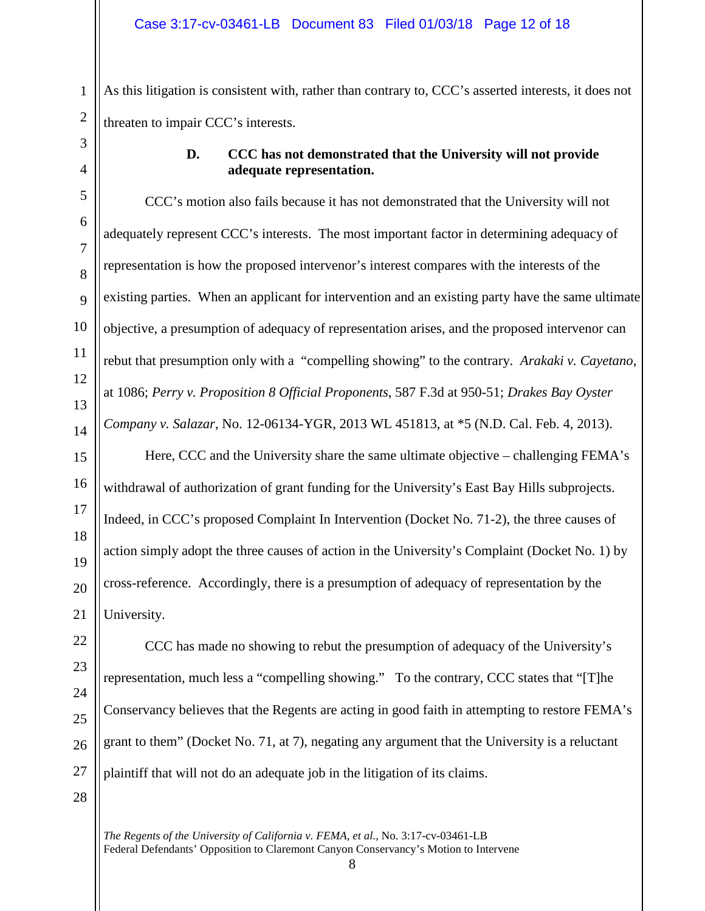As this litigation is consistent with, rather than contrary to, CCC's asserted interests, it does not threaten to impair CCC's interests.

# **D. CCC has not demonstrated that the University will not provide adequate representation.**

CCC's motion also fails because it has not demonstrated that the University will not adequately represent CCC's interests. The most important factor in determining adequacy of representation is how the proposed intervenor's interest compares with the interests of the existing parties. When an applicant for intervention and an existing party have the same ultimate objective, a presumption of adequacy of representation arises, and the proposed intervenor can rebut that presumption only with a "compelling showing" to the contrary. *Arakaki v. Cayetano*, at 1086; *Perry v. Proposition 8 Official Proponents*, 587 F.3d at 950-51; *Drakes Bay Oyster Company v. Salazar*, No. 12-06134-YGR, 2013 WL 451813, at \*5 (N.D. Cal. Feb. 4, 2013).

Here, CCC and the University share the same ultimate objective – challenging FEMA's withdrawal of authorization of grant funding for the University's East Bay Hills subprojects. Indeed, in CCC's proposed Complaint In Intervention (Docket No. 71-2), the three causes of action simply adopt the three causes of action in the University's Complaint (Docket No. 1) by cross-reference. Accordingly, there is a presumption of adequacy of representation by the University.

CCC has made no showing to rebut the presumption of adequacy of the University's representation, much less a "compelling showing." To the contrary, CCC states that "[T]he Conservancy believes that the Regents are acting in good faith in attempting to restore FEMA's grant to them" (Docket No. 71, at 7), negating any argument that the University is a reluctant plaintiff that will not do an adequate job in the litigation of its claims.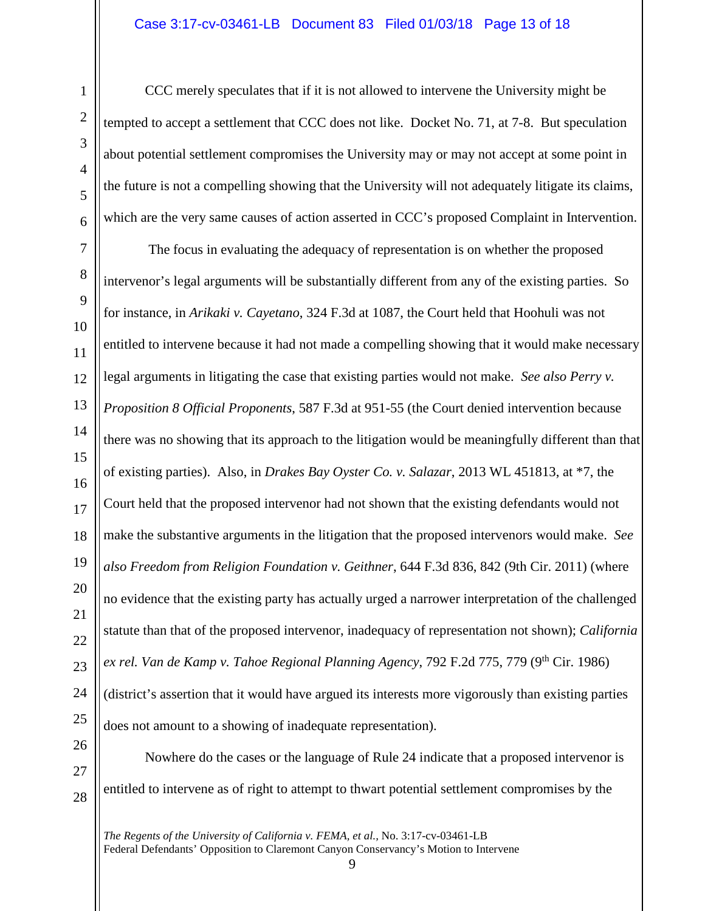## Case 3:17-cv-03461-LB Document 83 Filed 01/03/18 Page 13 of 18

CCC merely speculates that if it is not allowed to intervene the University might be tempted to accept a settlement that CCC does not like. Docket No. 71, at 7-8. But speculation about potential settlement compromises the University may or may not accept at some point in the future is not a compelling showing that the University will not adequately litigate its claims, which are the very same causes of action asserted in CCC's proposed Complaint in Intervention.

The focus in evaluating the adequacy of representation is on whether the proposed intervenor's legal arguments will be substantially different from any of the existing parties. So for instance, in *Arikaki v. Cayetano*, 324 F.3d at 1087, the Court held that Hoohuli was not entitled to intervene because it had not made a compelling showing that it would make necessary legal arguments in litigating the case that existing parties would not make. *See also Perry v. Proposition 8 Official Proponents*, 587 F.3d at 951-55 (the Court denied intervention because there was no showing that its approach to the litigation would be meaningfully different than that of existing parties). Also, in *Drakes Bay Oyster Co. v. Salazar*, 2013 WL 451813, at \*7, the Court held that the proposed intervenor had not shown that the existing defendants would not make the substantive arguments in the litigation that the proposed intervenors would make. *See also Freedom from Religion Foundation v. Geithner*, 644 F.3d 836, 842 (9th Cir. 2011) (where no evidence that the existing party has actually urged a narrower interpretation of the challenged statute than that of the proposed intervenor, inadequacy of representation not shown); *California*  ex rel. *Van de Kamp v. Tahoe Regional Planning Agency*, 792 F.2d 775, 779 (9<sup>th</sup> Cir. 1986) (district's assertion that it would have argued its interests more vigorously than existing parties does not amount to a showing of inadequate representation).

Nowhere do the cases or the language of Rule 24 indicate that a proposed intervenor is entitled to intervene as of right to attempt to thwart potential settlement compromises by the

<sup>9</sup>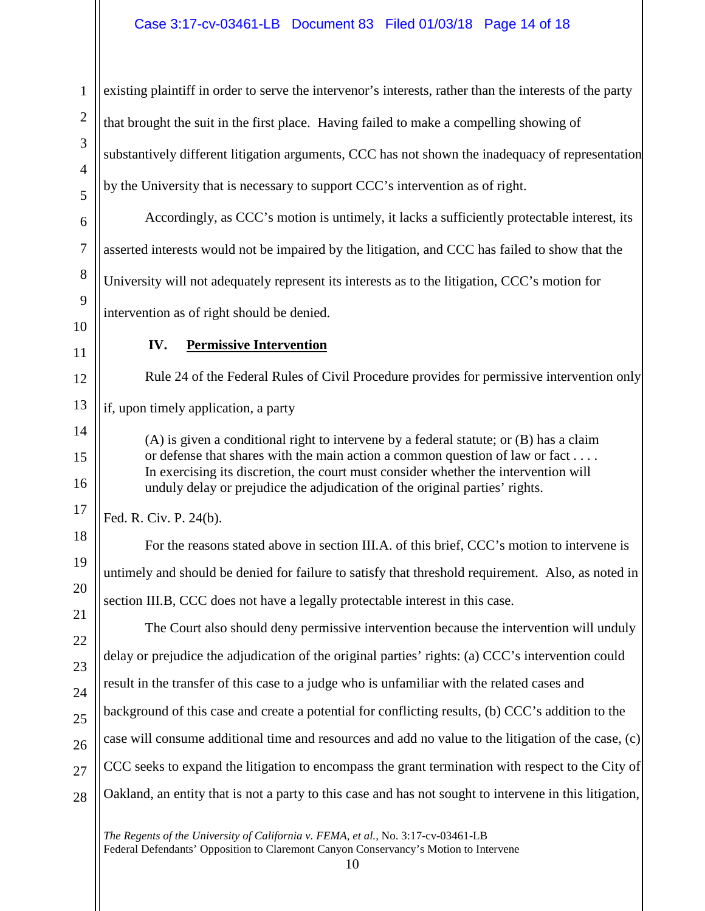1 2 3 4 5 6 7 8 9 10 11 12 13 14 15 16 17 18 19 20 21 22 23 24 25 26 27 28 existing plaintiff in order to serve the intervenor's interests, rather than the interests of the party that brought the suit in the first place. Having failed to make a compelling showing of substantively different litigation arguments, CCC has not shown the inadequacy of representation by the University that is necessary to support CCC's intervention as of right. Accordingly, as CCC's motion is untimely, it lacks a sufficiently protectable interest, its asserted interests would not be impaired by the litigation, and CCC has failed to show that the University will not adequately represent its interests as to the litigation, CCC's motion for intervention as of right should be denied. **IV. Permissive Intervention** Rule 24 of the Federal Rules of Civil Procedure provides for permissive intervention only if, upon timely application, a party (A) is given a conditional right to intervene by a federal statute; or (B) has a claim or defense that shares with the main action a common question of law or fact . . . . In exercising its discretion, the court must consider whether the intervention will unduly delay or prejudice the adjudication of the original parties' rights. Fed. R. Civ. P. 24(b). For the reasons stated above in section III.A. of this brief, CCC's motion to intervene is untimely and should be denied for failure to satisfy that threshold requirement. Also, as noted in section III.B, CCC does not have a legally protectable interest in this case. The Court also should deny permissive intervention because the intervention will unduly delay or prejudice the adjudication of the original parties' rights: (a) CCC's intervention could result in the transfer of this case to a judge who is unfamiliar with the related cases and background of this case and create a potential for conflicting results, (b) CCC's addition to the case will consume additional time and resources and add no value to the litigation of the case, (c) CCC seeks to expand the litigation to encompass the grant termination with respect to the City of Oakland, an entity that is not a party to this case and has not sought to intervene in this litigation,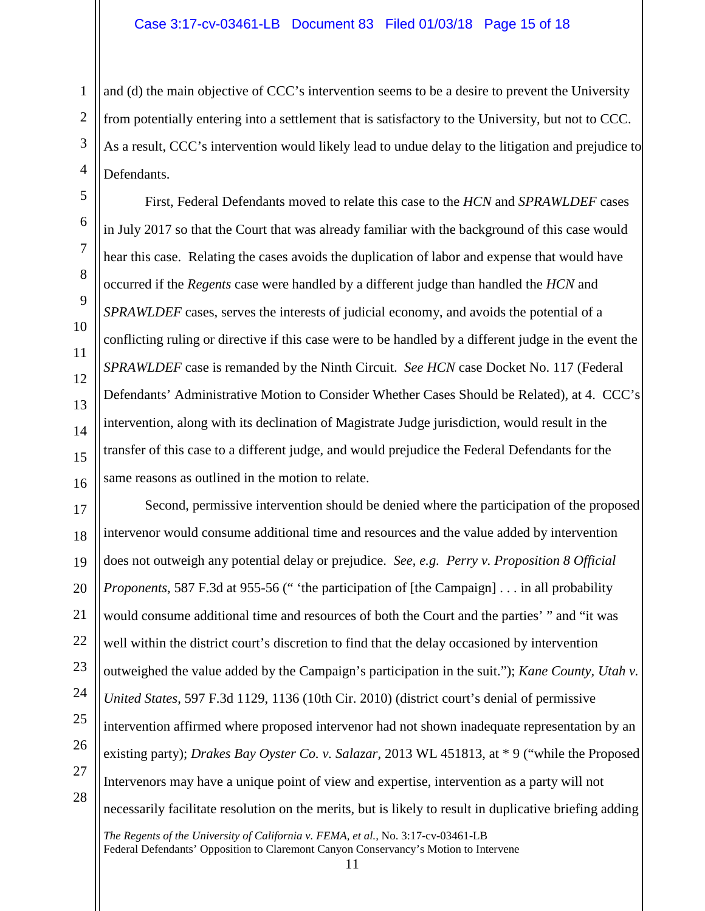## Case 3:17-cv-03461-LB Document 83 Filed 01/03/18 Page 15 of 18

and (d) the main objective of CCC's intervention seems to be a desire to prevent the University from potentially entering into a settlement that is satisfactory to the University, but not to CCC. As a result, CCC's intervention would likely lead to undue delay to the litigation and prejudice to Defendants.

First, Federal Defendants moved to relate this case to the *HCN* and *SPRAWLDEF* cases in July 2017 so that the Court that was already familiar with the background of this case would hear this case. Relating the cases avoids the duplication of labor and expense that would have occurred if the *Regents* case were handled by a different judge than handled the *HCN* and *SPRAWLDEF* cases, serves the interests of judicial economy, and avoids the potential of a conflicting ruling or directive if this case were to be handled by a different judge in the event the *SPRAWLDEF* case is remanded by the Ninth Circuit. *See HCN* case Docket No. 117 (Federal Defendants' Administrative Motion to Consider Whether Cases Should be Related), at 4. CCC's intervention, along with its declination of Magistrate Judge jurisdiction, would result in the transfer of this case to a different judge, and would prejudice the Federal Defendants for the same reasons as outlined in the motion to relate.

Second, permissive intervention should be denied where the participation of the proposed intervenor would consume additional time and resources and the value added by intervention does not outweigh any potential delay or prejudice. *See*, *e.g. Perry v. Proposition 8 Official Proponents*, 587 F.3d at 955-56 (" 'the participation of [the Campaign] . . . in all probability would consume additional time and resources of both the Court and the parties' " and "it was well within the district court's discretion to find that the delay occasioned by intervention outweighed the value added by the Campaign's participation in the suit."); *Kane County, Utah v. United States*, 597 F.3d 1129, 1136 (10th Cir. 2010) (district court's denial of permissive intervention affirmed where proposed intervenor had not shown inadequate representation by an existing party); *Drakes Bay Oyster Co. v. Salazar*, 2013 WL 451813, at \* 9 ("while the Proposed Intervenors may have a unique point of view and expertise, intervention as a party will not necessarily facilitate resolution on the merits, but is likely to result in duplicative briefing adding

*The Regents of the University of California v. FEMA, et al.,* No. 3:17-cv-03461-LB Federal Defendants' Opposition to Claremont Canyon Conservancy's Motion to Intervene 11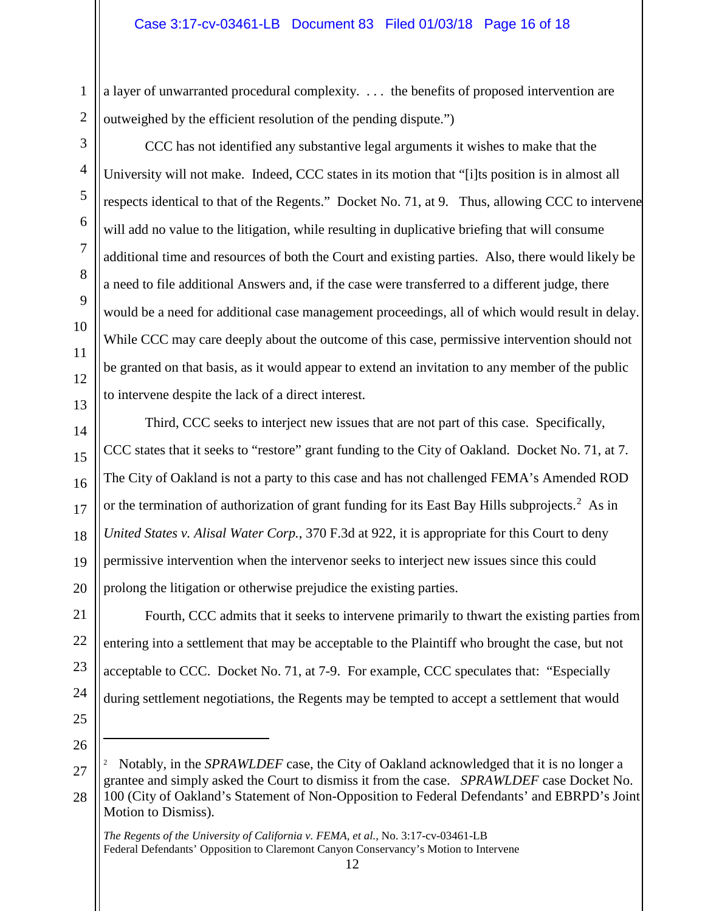a layer of unwarranted procedural complexity. . . . the benefits of proposed intervention are outweighed by the efficient resolution of the pending dispute.")

CCC has not identified any substantive legal arguments it wishes to make that the University will not make. Indeed, CCC states in its motion that "[i]ts position is in almost all respects identical to that of the Regents." Docket No. 71, at 9. Thus, allowing CCC to intervene will add no value to the litigation, while resulting in duplicative briefing that will consume additional time and resources of both the Court and existing parties. Also, there would likely be a need to file additional Answers and, if the case were transferred to a different judge, there would be a need for additional case management proceedings, all of which would result in delay. While CCC may care deeply about the outcome of this case, permissive intervention should not be granted on that basis, as it would appear to extend an invitation to any member of the public to intervene despite the lack of a direct interest.

Third, CCC seeks to interject new issues that are not part of this case. Specifically, CCC states that it seeks to "restore" grant funding to the City of Oakland. Docket No. 71, at 7. The City of Oakland is not a party to this case and has not challenged FEMA's Amended ROD or the termination of authorization of grant funding for its East Bay Hills subprojects.<sup>[2](#page-15-0)</sup> As in *United States v. Alisal Water Corp.*, 370 F.3d at 922, it is appropriate for this Court to deny permissive intervention when the intervenor seeks to interject new issues since this could prolong the litigation or otherwise prejudice the existing parties.

Fourth, CCC admits that it seeks to intervene primarily to thwart the existing parties from entering into a settlement that may be acceptable to the Plaintiff who brought the case, but not acceptable to CCC. Docket No. 71, at 7-9. For example, CCC speculates that: "Especially during settlement negotiations, the Regents may be tempted to accept a settlement that would

25 26

 $\overline{a}$ 

<span id="page-15-0"></span>27

28

1

2

3

4

5

6

7

8

9

10

11

12

13

14

15

16

17

18

19

20

21

22

23

24

12

<sup>2</sup> Notably, in the *SPRAWLDEF* case, the City of Oakland acknowledged that it is no longer a grantee and simply asked the Court to dismiss it from the case. *SPRAWLDEF* case Docket No. 100 (City of Oakland's Statement of Non-Opposition to Federal Defendants' and EBRPD's Joint Motion to Dismiss).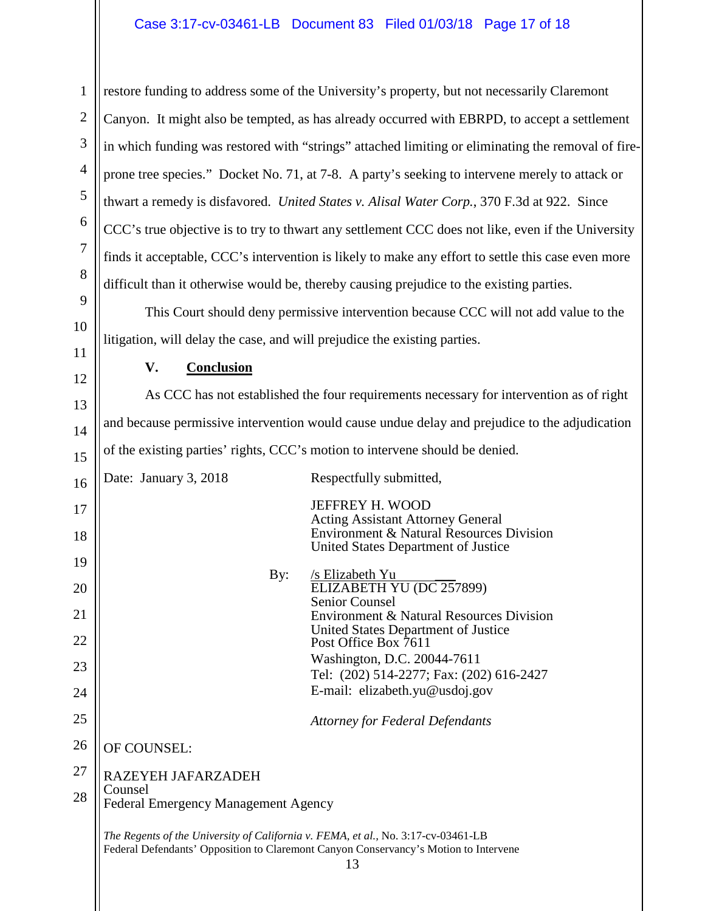# Case 3:17-cv-03461-LB Document 83 Filed 01/03/18 Page 17 of 18

restore funding to address some of the University's property, but not necessarily Claremont Canyon. It might also be tempted, as has already occurred with EBRPD, to accept a settlement in which funding was restored with "strings" attached limiting or eliminating the removal of fireprone tree species." Docket No. 71, at 7-8. A party's seeking to intervene merely to attack or thwart a remedy is disfavored. *United States v. Alisal Water Corp.*, 370 F.3d at 922. Since CCC's true objective is to try to thwart any settlement CCC does not like, even if the University finds it acceptable, CCC's intervention is likely to make any effort to settle this case even more difficult than it otherwise would be, thereby causing prejudice to the existing parties.

This Court should deny permissive intervention because CCC will not add value to the litigation, will delay the case, and will prejudice the existing parties.

**V. Conclusion**

1

2

3

4

5

6

7

8

9

10

11

12

13

14

15

As CCC has not established the four requirements necessary for intervention as of right and because permissive intervention would cause undue delay and prejudice to the adjudication of the existing parties' rights, CCC's motion to intervene should be denied.

| 16 | Date: January 3, 2018                                                                                                                                                           | Respectfully submitted,                                                         |  |
|----|---------------------------------------------------------------------------------------------------------------------------------------------------------------------------------|---------------------------------------------------------------------------------|--|
| 17 |                                                                                                                                                                                 | JEFFREY H. WOOD<br><b>Acting Assistant Attorney General</b>                     |  |
| 18 |                                                                                                                                                                                 | Environment & Natural Resources Division<br>United States Department of Justice |  |
| 19 |                                                                                                                                                                                 |                                                                                 |  |
| 20 | By:                                                                                                                                                                             | /s Elizabeth Yu<br>ELIZABETH YU (DC 257899)                                     |  |
| 21 |                                                                                                                                                                                 | <b>Senior Counsel</b><br>Environment & Natural Resources Division               |  |
| 22 |                                                                                                                                                                                 | United States Department of Justice<br>Post Office Box 7611                     |  |
| 23 |                                                                                                                                                                                 | Washington, D.C. 20044-7611<br>Tel: (202) 514-2277; Fax: (202) 616-2427         |  |
| 24 |                                                                                                                                                                                 | E-mail: elizabeth.yu@usdoj.gov                                                  |  |
| 25 |                                                                                                                                                                                 | <b>Attorney for Federal Defendants</b>                                          |  |
| 26 | OF COUNSEL:                                                                                                                                                                     |                                                                                 |  |
| 27 | RAZEYEH JAFARZADEH                                                                                                                                                              |                                                                                 |  |
| 28 | Counsel<br><b>Federal Emergency Management Agency</b>                                                                                                                           |                                                                                 |  |
|    | The Regents of the University of California v. FEMA, et al., No. 3:17-cv-03461-LB<br>Federal Defendants' Opposition to Claremont Canyon Conservancy's Motion to Intervene<br>13 |                                                                                 |  |